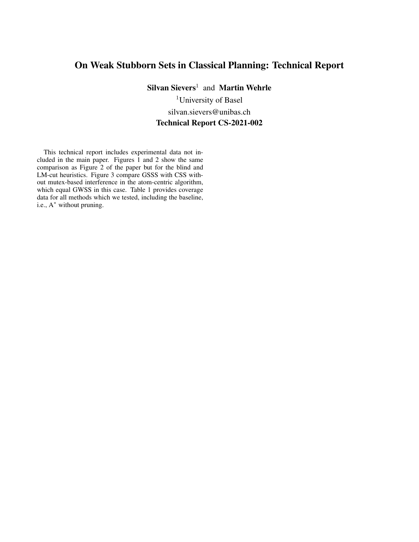## On Weak Stubborn Sets in Classical Planning: Technical Report

 $Silvan Sievers<sup>1</sup>$  and Martin Wehrle

<sup>1</sup>University of Basel silvan.sievers@unibas.ch Technical Report CS-2021-002

This technical report includes experimental data not included in the main paper. Figures [1](#page-1-0) and [2](#page-1-1) show the same comparison as Figure 2 of the paper but for the blind and LM-cut heuristics. Figure [3](#page-1-2) compare GSSS with CSS without mutex-based interference in the atom-centric algorithm, which equal GWSS in this case. Table [1](#page-2-0) provides coverage data for all methods which we tested, including the baseline, i.e., A<sup>∗</sup> without pruning.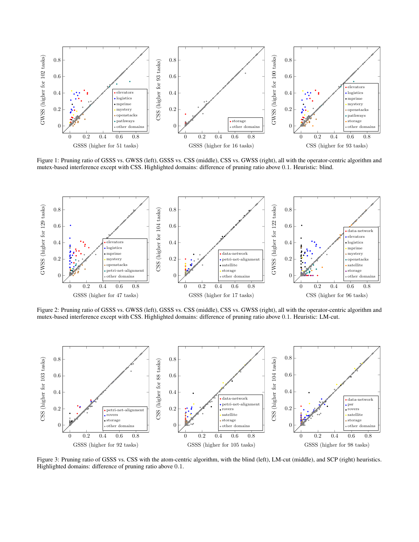<span id="page-1-0"></span>

Figure 1: Pruning ratio of GSSS vs. GWSS (left), GSSS vs. CSS (middle), CSS vs. GWSS (right), all with the operator-centric algorithm and mutex-based interference except with CSS. Highlighted domains: difference of pruning ratio above 0.1. Heuristic: blind.

<span id="page-1-1"></span>

Figure 2: Pruning ratio of GSSS vs. GWSS (left), GSSS vs. CSS (middle), CSS vs. GWSS (right), all with the operator-centric algorithm and mutex-based interference except with CSS. Highlighted domains: difference of pruning ratio above 0.1. Heuristic: LM-cut.

<span id="page-1-2"></span>

Figure 3: Pruning ratio of GSSS vs. CSS with the atom-centric algorithm, with the blind (left), LM-cut (middle), and SCP (right) heuristics. Highlighted domains: difference of pruning ratio above 0.1.